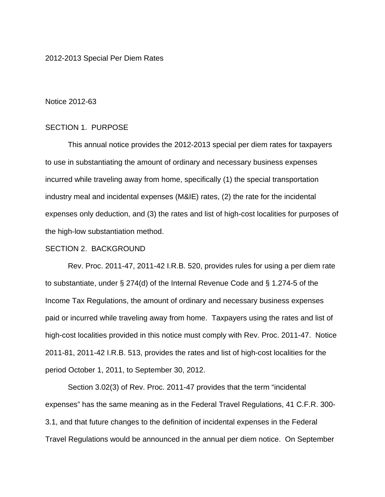### 2012-2013 Special Per Diem Rates

#### Notice 2012-63

## SECTION 1. PURPOSE

 This annual notice provides the 2012-2013 special per diem rates for taxpayers to use in substantiating the amount of ordinary and necessary business expenses incurred while traveling away from home, specifically (1) the special transportation industry meal and incidental expenses (M&IE) rates, (2) the rate for the incidental expenses only deduction, and (3) the rates and list of high-cost localities for purposes of the high-low substantiation method.

## SECTION 2. BACKGROUND

 Rev. Proc. 2011-47, 2011-42 I.R.B. 520, provides rules for using a per diem rate to substantiate, under § 274(d) of the Internal Revenue Code and § 1.274-5 of the Income Tax Regulations, the amount of ordinary and necessary business expenses paid or incurred while traveling away from home. Taxpayers using the rates and list of high-cost localities provided in this notice must comply with Rev. Proc. 2011-47. Notice 2011-81, 2011-42 I.R.B. 513, provides the rates and list of high-cost localities for the period October 1, 2011, to September 30, 2012.

 Section 3.02(3) of Rev. Proc. 2011-47 provides that the term "incidental expenses" has the same meaning as in the Federal Travel Regulations, 41 C.F.R. 300- 3.1, and that future changes to the definition of incidental expenses in the Federal Travel Regulations would be announced in the annual per diem notice. On September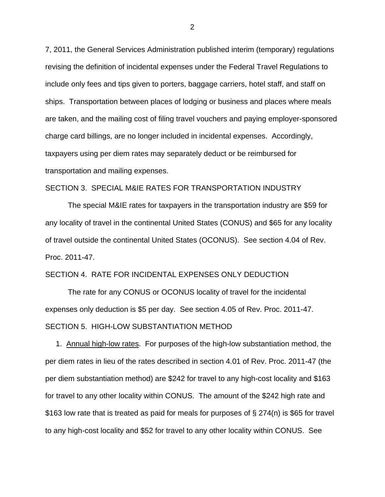7, 2011, the General Services Administration published interim (temporary) regulations revising the definition of incidental expenses under the Federal Travel Regulations to include only fees and tips given to porters, baggage carriers, hotel staff, and staff on ships. Transportation between places of lodging or business and places where meals are taken, and the mailing cost of filing travel vouchers and paying employer-sponsored charge card billings, are no longer included in incidental expenses. Accordingly, taxpayers using per diem rates may separately deduct or be reimbursed for transportation and mailing expenses.

# SECTION 3. SPECIAL M&IE RATES FOR TRANSPORTATION INDUSTRY

The special M&IE rates for taxpayers in the transportation industry are \$59 for any locality of travel in the continental United States (CONUS) and \$65 for any locality of travel outside the continental United States (OCONUS). See section 4.04 of Rev. Proc. 2011-47.

### SECTION 4. RATE FOR INCIDENTAL EXPENSES ONLY DEDUCTION

 The rate for any CONUS or OCONUS locality of travel for the incidental expenses only deduction is \$5 per day. See section 4.05 of Rev. Proc. 2011-47. SECTION 5. HIGH-LOW SUBSTANTIATION METHOD

 1. Annual high-low rates. For purposes of the high-low substantiation method, the per diem rates in lieu of the rates described in section 4.01 of Rev. Proc. 2011-47 (the per diem substantiation method) are \$242 for travel to any high-cost locality and \$163 for travel to any other locality within CONUS. The amount of the \$242 high rate and \$163 low rate that is treated as paid for meals for purposes of § 274(n) is \$65 for travel to any high-cost locality and \$52 for travel to any other locality within CONUS. See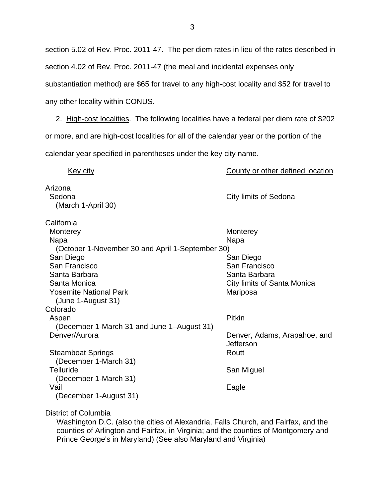section 5.02 of Rev. Proc. 2011-47. The per diem rates in lieu of the rates described in section 4.02 of Rev. Proc. 2011-47 (the meal and incidental expenses only substantiation method) are \$65 for travel to any high-cost locality and \$52 for travel to any other locality within CONUS.

 2. High-cost localities. The following localities have a federal per diem rate of \$202 or more, and are high-cost localities for all of the calendar year or the portion of the calendar year specified in parentheses under the key city name.

| Key city                                                                                                                                                                                                             | County or other defined location                                                                           |
|----------------------------------------------------------------------------------------------------------------------------------------------------------------------------------------------------------------------|------------------------------------------------------------------------------------------------------------|
| Arizona<br>Sedona<br>(March 1-April 30)                                                                                                                                                                              | City limits of Sedona                                                                                      |
| California<br>Monterey<br>Napa<br>(October 1-November 30 and April 1-September 30)<br>San Diego<br>San Francisco<br>Santa Barbara<br>Santa Monica<br><b>Yosemite National Park</b><br>(June 1-August 31)             | Monterey<br>Napa<br>San Diego<br>San Francisco<br>Santa Barbara<br>City limits of Santa Monica<br>Mariposa |
| Colorado<br>Aspen<br>(December 1-March 31 and June 1-August 31)<br>Denver/Aurora<br><b>Steamboat Springs</b><br>(December 1-March 31)<br><b>Telluride</b><br>(December 1-March 31)<br>Vail<br>(December 1-August 31) | Pitkin<br>Denver, Adams, Arapahoe, and<br>Jefferson<br>Routt<br>San Miguel<br>Eagle                        |

District of Columbia

Washington D.C. (also the cities of Alexandria, Falls Church, and Fairfax, and the counties of Arlington and Fairfax, in Virginia; and the counties of Montgomery and Prince George's in Maryland) (See also Maryland and Virginia)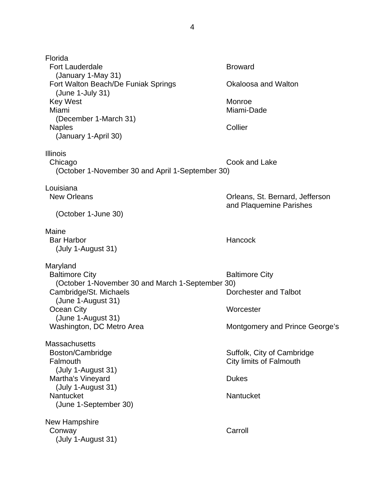Florida Fort Lauderdale **Broward**  (January 1-May 31) Fort Walton Beach/De Funiak Springs **Canadia Contract Contract Contract Contract Contract Contract Contract Contract Contract Contract Contract Contract Contract Contract Contract Contract Contract Contract Contract Contra**  (June 1-July 31) Key West **Monroe** Miami Miami-Dade (December 1-March 31) Naples Collier (January 1-April 30) Illinois Chicago Cook and Lake (October 1-November 30 and April 1-September 30) Louisiana New Orleans **New Orleans**, St. Bernard, Jefferson and Plaquemine Parishes (October 1-June 30) Maine Bar Harbor **Hancock Hancock**  (July 1-August 31) Maryland Baltimore City **Baltimore City**  (October 1-November 30 and March 1-September 30) Cambridge/St. Michaels Dorchester and Talbot (June 1-August 31) Ocean City **Worcester**  (June 1-August 31) Washington, DC Metro Area Montgomery and Prince George's **Massachusetts** Boston/Cambridge Suffolk, City of Cambridge Falmouth City limits of Falmouth (July 1-August 31) Martha's Vineyard **Dukes** Dukes (July 1-August 31) Nantucket Nantucket (June 1-September 30) New Hampshire Conway Carroll (July 1-August 31)

4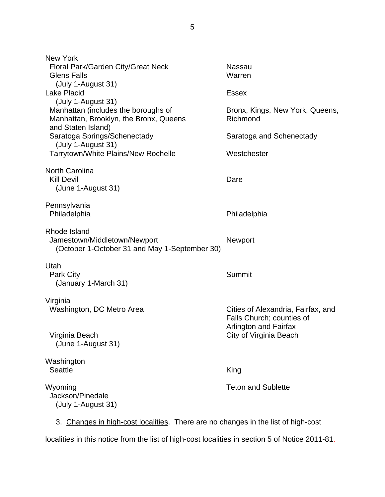| <b>New York</b>                                                                                     |                                                        |
|-----------------------------------------------------------------------------------------------------|--------------------------------------------------------|
| Floral Park/Garden City/Great Neck<br><b>Glens Falls</b>                                            | <b>Nassau</b><br>Warren                                |
| (July 1-August 31)                                                                                  |                                                        |
| <b>Lake Placid</b>                                                                                  | <b>Essex</b>                                           |
| (July 1-August 31)                                                                                  |                                                        |
| Manhattan (includes the boroughs of<br>Manhattan, Brooklyn, the Bronx, Queens<br>and Staten Island) | Bronx, Kings, New York, Queens,<br>Richmond            |
| Saratoga Springs/Schenectady                                                                        | Saratoga and Schenectady                               |
| (July 1-August 31)<br>Tarrytown/White Plains/New Rochelle                                           | Westchester                                            |
| <b>North Carolina</b>                                                                               |                                                        |
| <b>Kill Devil</b>                                                                                   | Dare                                                   |
| (June 1-August 31)                                                                                  |                                                        |
| Pennsylvania                                                                                        |                                                        |
| Philadelphia                                                                                        | Philadelphia                                           |
| Rhode Island                                                                                        |                                                        |
| Jamestown/Middletown/Newport                                                                        | <b>Newport</b>                                         |
| (October 1-October 31 and May 1-September 30)                                                       |                                                        |
| Utah                                                                                                |                                                        |
| Park City<br>(January 1-March 31)                                                                   | <b>Summit</b>                                          |
|                                                                                                     |                                                        |
| Virginia<br>Washington, DC Metro Area                                                               | Cities of Alexandria, Fairfax, and                     |
|                                                                                                     | Falls Church; counties of                              |
| Virginia Beach                                                                                      | <b>Arlington and Fairfax</b><br>City of Virginia Beach |
| (June 1-August 31)                                                                                  |                                                        |
| Washington                                                                                          |                                                        |
| <b>Seattle</b>                                                                                      | King                                                   |
| Wyoming                                                                                             | <b>Teton and Sublette</b>                              |
| Jackson/Pinedale                                                                                    |                                                        |
| (July 1-August 31)                                                                                  |                                                        |
| 3. Changes in high-cost localities. There are no changes in the list of high-cost                   |                                                        |

localities in this notice from the list of high-cost localities in section 5 of Notice 2011-81.